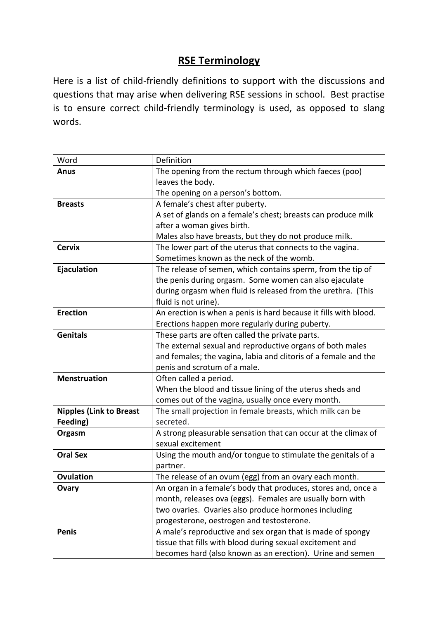## **RSE Terminology**

Here is a list of child-friendly definitions to support with the discussions and questions that may arise when delivering RSE sessions in school. Best practise is to ensure correct child-friendly terminology is used, as opposed to slang words.

| Word                           | Definition                                                       |
|--------------------------------|------------------------------------------------------------------|
| <b>Anus</b>                    | The opening from the rectum through which faeces (poo)           |
|                                | leaves the body.                                                 |
|                                | The opening on a person's bottom.                                |
| <b>Breasts</b>                 | A female's chest after puberty.                                  |
|                                | A set of glands on a female's chest; breasts can produce milk    |
|                                | after a woman gives birth.                                       |
|                                | Males also have breasts, but they do not produce milk.           |
| <b>Cervix</b>                  | The lower part of the uterus that connects to the vagina.        |
|                                | Sometimes known as the neck of the womb.                         |
| Ejaculation                    | The release of semen, which contains sperm, from the tip of      |
|                                | the penis during orgasm. Some women can also ejaculate           |
|                                | during orgasm when fluid is released from the urethra. (This     |
|                                | fluid is not urine).                                             |
| <b>Erection</b>                | An erection is when a penis is hard because it fills with blood. |
|                                | Erections happen more regularly during puberty.                  |
| <b>Genitals</b>                | These parts are often called the private parts.                  |
|                                | The external sexual and reproductive organs of both males        |
|                                | and females; the vagina, labia and clitoris of a female and the  |
|                                | penis and scrotum of a male.                                     |
| <b>Menstruation</b>            | Often called a period.                                           |
|                                | When the blood and tissue lining of the uterus sheds and         |
|                                | comes out of the vagina, usually once every month.               |
| <b>Nipples (Link to Breast</b> | The small projection in female breasts, which milk can be        |
| Feeding)                       | secreted.                                                        |
| Orgasm                         | A strong pleasurable sensation that can occur at the climax of   |
|                                | sexual excitement                                                |
| <b>Oral Sex</b>                | Using the mouth and/or tongue to stimulate the genitals of a     |
|                                | partner.                                                         |
| <b>Ovulation</b>               | The release of an ovum (egg) from an ovary each month.           |
| Ovary                          | An organ in a female's body that produces, stores and, once a    |
|                                | month, releases ova (eggs). Females are usually born with        |
|                                | two ovaries. Ovaries also produce hormones including             |
|                                | progesterone, oestrogen and testosterone.                        |
| <b>Penis</b>                   | A male's reproductive and sex organ that is made of spongy       |
|                                | tissue that fills with blood during sexual excitement and        |
|                                | becomes hard (also known as an erection). Urine and semen        |